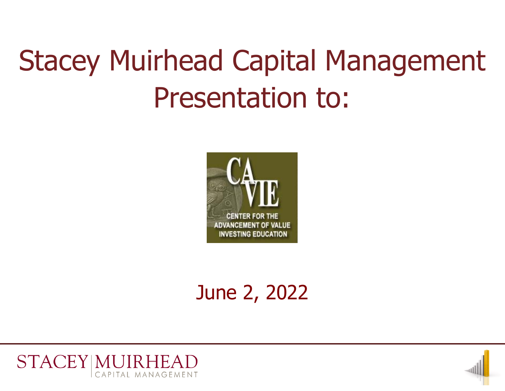## Stacey Muirhead Capital Management Presentation to:



## June 2, 2022



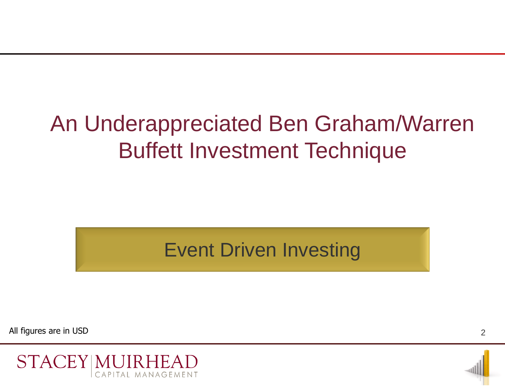## An Underappreciated Ben Graham/Warren Buffett Investment Technique

Event Driven Investing

All figures are in USD



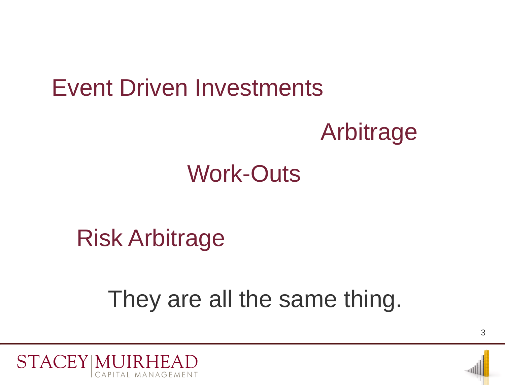# Event Driven Investments Arbitrage

## Work-Outs

## Risk Arbitrage

## They are all the same thing.

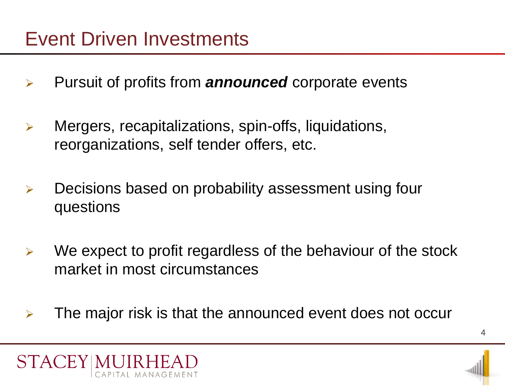- Pursuit of profits from *announced* corporate events
- Mergers, recapitalizations, spin-offs, liquidations, reorganizations, self tender offers, etc.
- $\triangleright$  Decisions based on probability assessment using four questions
- $\triangleright$  We expect to profit regardless of the behaviour of the stock market in most circumstances
- $\triangleright$  The major risk is that the announced event does not occur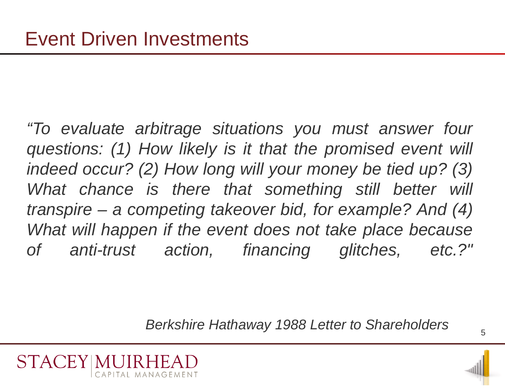*"To evaluate arbitrage situations you must answer four questions: (1) How likely is it that the promised event will indeed occur? (2) How long will your money be tied up? (3)* What chance is there that something still better will *transpire – a competing takeover bid, for example? And (4) What will happen if the event does not take place because of anti-trust action, financing glitches, etc.?"*

*Berkshire Hathaway 1988 Letter to Shareholders*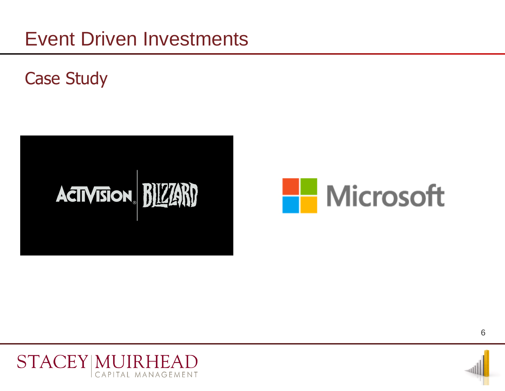Case Study





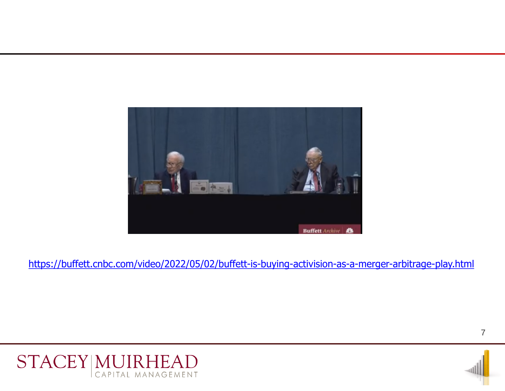

https://buffett.cnbc.com/video/2022/05/02/buffett-is-buying-activision-as-a-merger-arbitrage-play.html

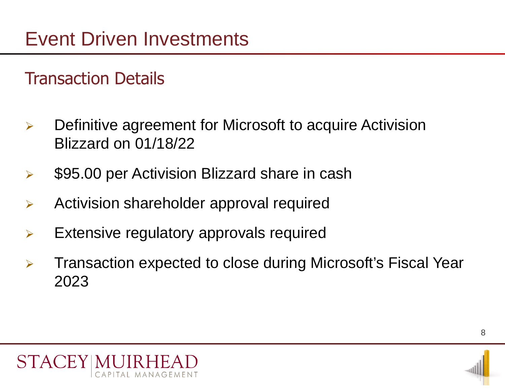#### Transaction Details

- $\triangleright$  Definitive agreement for Microsoft to acquire Activision Blizzard on 01/18/22
- $\triangleright$  \$95.00 per Activision Blizzard share in cash
- $\triangleright$  Activision shareholder approval required
- $\triangleright$  Extensive regulatory approvals required
- **EX4 Transaction expected to close during Microsoft's Fiscal Year** 2023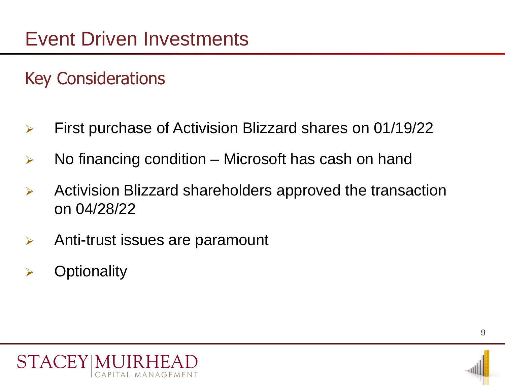#### Key Considerations

- First purchase of Activision Blizzard shares on 01/19/22
- $\triangleright$  No financing condition Microsoft has cash on hand
- $\triangleright$  Activision Blizzard shareholders approved the transaction on 04/28/22
- $\triangleright$  Anti-trust issues are paramount

MANAGEMEN<sup>-</sup>

 $\triangleright$  Optionality

STACFY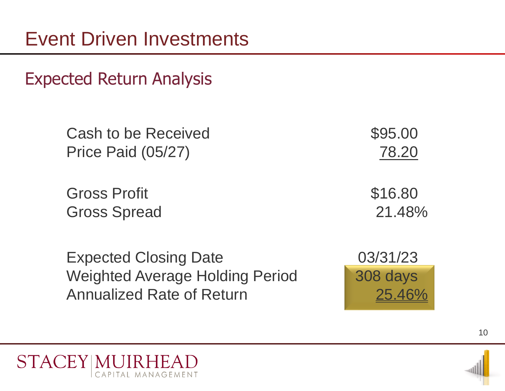Expected Return Analysis

Cash to be Received  $$95.00$ Price Paid (05/27) 78.20

Gross Profit **\$16.80** Gross Spread 21.48%

Expected Closing Date 03/31/23 Weighted Average Holding Period 308 days Annualized Rate of Return 25.46%



10

**STACEY MUI** CAPITAL MANAGEMENT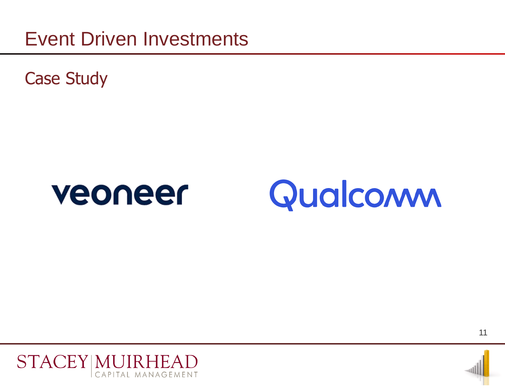Case Study





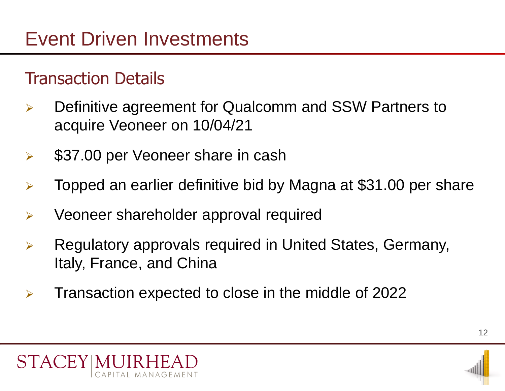#### Transaction Details

- Definitive agreement for Qualcomm and SSW Partners to acquire Veoneer on 10/04/21
- $\triangleright$  \$37.00 per Veoneer share in cash
- $\triangleright$  Topped an earlier definitive bid by Magna at \$31.00 per share
- $\triangleright$  Veoneer shareholder approval required
- Regulatory approvals required in United States, Germany, Italy, France, and China
- $\triangleright$  Transaction expected to close in the middle of 2022

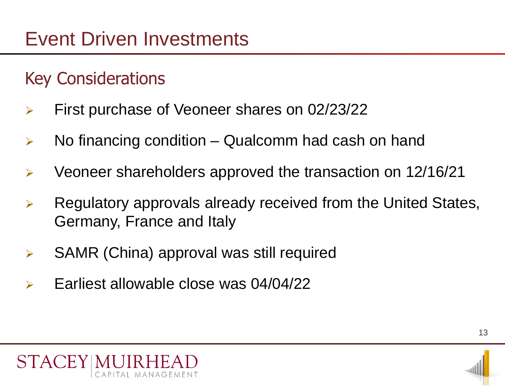#### Key Considerations

- First purchase of Veoneer shares on 02/23/22
- $\triangleright$  No financing condition Qualcomm had cash on hand
- $\triangleright$  Veoneer shareholders approved the transaction on 12/16/21
- $\triangleright$  Regulatory approvals already received from the United States, Germany, France and Italy
- SAMR (China) approval was still required
- $\triangleright$  Earliest allowable close was 04/04/22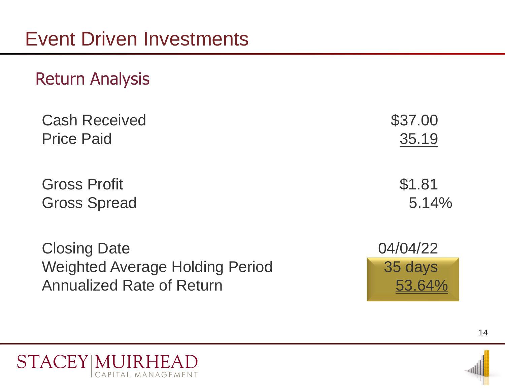#### Return Analysis

| <b>Cash Received</b> | \$37.00 |
|----------------------|---------|
| <b>Price Paid</b>    | 35.19   |
|                      |         |
| <b>Gross Profit</b>  | \$1.81  |
| <b>Gross Spread</b>  | 5.14%   |
|                      |         |

Closing Date 04/04/22 Weighted Average Holding Period 1995 35 days Annualized Rate of Return 53.64%



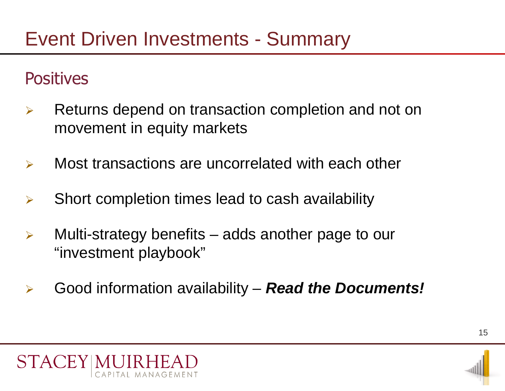#### Event Driven Investments - Summary

#### **Positives**

- $\triangleright$  Returns depend on transaction completion and not on movement in equity markets
- $\triangleright$  Most transactions are uncorrelated with each other
- $\triangleright$  Short completion times lead to cash availability
- $\triangleright$  Multi-strategy benefits adds another page to our "investment playbook"
- Good information availability *Read the Documents!*



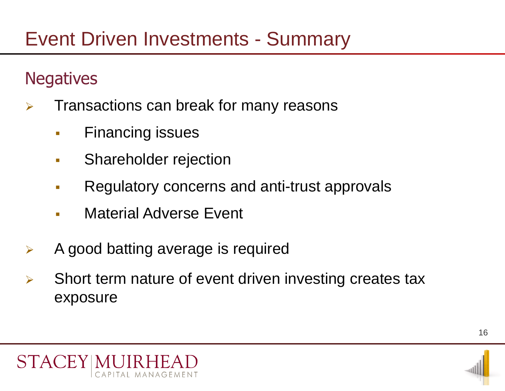#### Event Driven Investments - Summary

#### **Negatives**

- $\triangleright$  Transactions can break for many reasons
	- **Financing issues**
	- **Shareholder rejection**
	- **Regulatory concerns and anti-trust approvals**
	- **Naterial Adverse Event**
- $\triangleright$  A good batting average is required
- $\triangleright$  Short term nature of event driven investing creates tax exposure